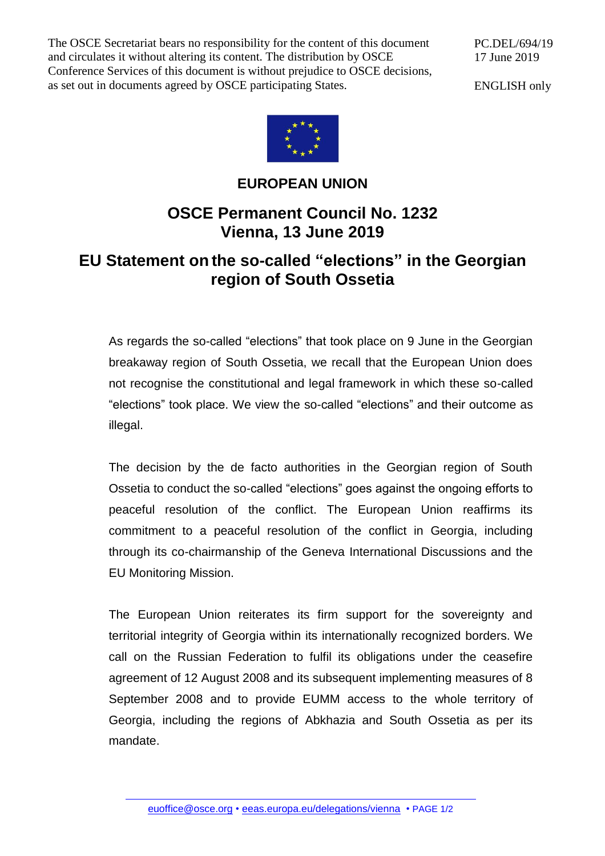The OSCE Secretariat bears no responsibility for the content of this document and circulates it without altering its content. The distribution by OSCE Conference Services of this document is without prejudice to OSCE decisions, as set out in documents agreed by OSCE participating States.

PC.DEL/694/19 17 June 2019

ENGLISH only



## **EUROPEAN UNION**

## **OSCE Permanent Council No. 1232 Vienna, 13 June 2019**

## **EU Statement on the so-called "elections" in the Georgian region of South Ossetia**

As regards the so-called "elections" that took place on 9 June in the Georgian breakaway region of South Ossetia, we recall that the European Union does not recognise the constitutional and legal framework in which these so-called "elections" took place. We view the so-called "elections" and their outcome as illegal.

The decision by the de facto authorities in the Georgian region of South Ossetia to conduct the so-called "elections" goes against the ongoing efforts to peaceful resolution of the conflict. The European Union reaffirms its commitment to a peaceful resolution of the conflict in Georgia, including through its co-chairmanship of the Geneva International Discussions and the EU Monitoring Mission.

The European Union reiterates its firm support for the sovereignty and territorial integrity of Georgia within its internationally recognized borders. We call on the Russian Federation to fulfil its obligations under the ceasefire agreement of 12 August 2008 and its subsequent implementing measures of 8 September 2008 and to provide EUMM access to the whole territory of Georgia, including the regions of Abkhazia and South Ossetia as per its mandate.